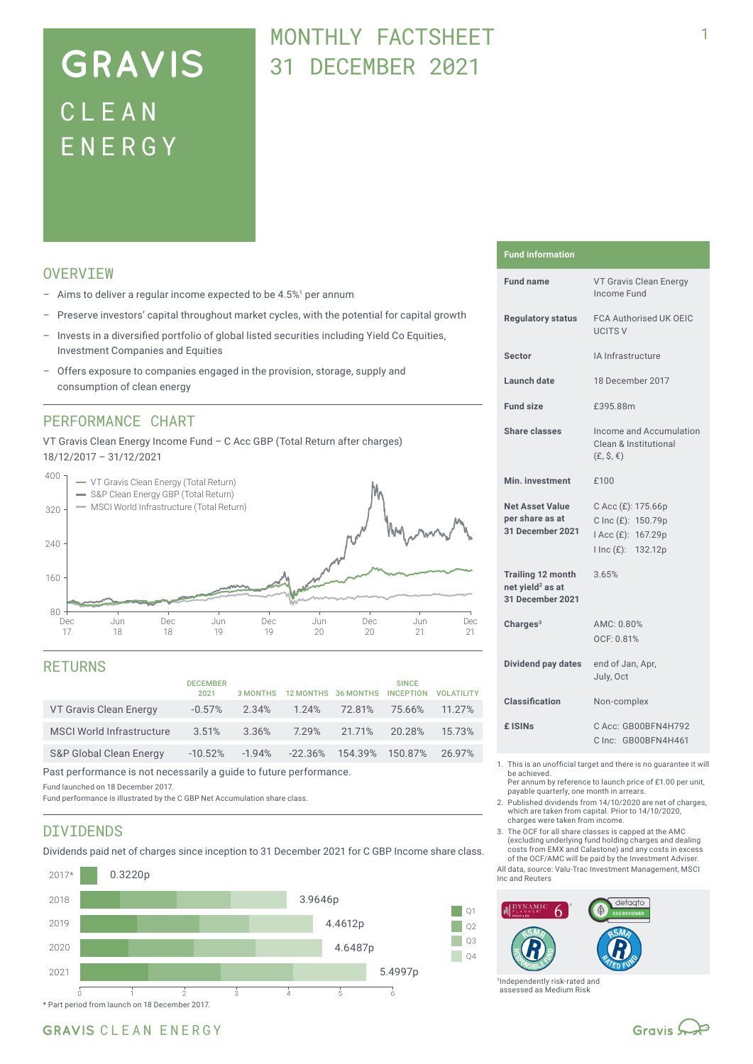# **GRAVIS** CLEA N ENERG Y

## MONTHLY FACTSHEFT 31 DECEMBER 2021

## **OVERVTEW**

- $-$  Aims to deliver a regular income expected to be 4.5%<sup>1</sup> per annum
- Preserve investors' capital throughout market cycles, with the potential for capital growth
- Invests in a diversified portfolio of global listed securities including Yield Co Equities, Investment Companies and Equities
- Offers exposure to companies engaged in the provision, storage, supply and consumption of clean energy

### PERFORMANCE CHART

VT Gravis Clean Energy Income Fund – C Acc GBP (Total Return after charges) 18/12/2017 – 31/12/2021



### RETURNS

|            |           |           |        | <b>VOLATILITY</b> |
|------------|-----------|-----------|--------|-------------------|
| 2.34%      | 1.24%     | 72.81%    | 75.66% | 11.27%            |
| 3.36%      | 7.29%     | 21.71%    | 20.28% | 15.73%            |
| $-10.52\%$ | $-22.36%$ |           |        | 2697%             |
|            |           | $-1.94\%$ |        | 154.39% 150.87%   |

Past performance is not necessarily a guide to future performance.

Fund launched on 18 December 2017.

Fund performance is illustrated by the C GBP Net Accumulation share class.

### DIVIDENDS

Dividends paid net of charges since inception to 31 December 2021 for C GBP Income share class.



#### **Fund information**

| <b>Fund name</b>                                                             | VT Gravis Clean Energy<br>Income Fund                                                |  |  |  |
|------------------------------------------------------------------------------|--------------------------------------------------------------------------------------|--|--|--|
| <b>Regulatory status</b>                                                     | <b>FCA Authorised UK OEIC</b><br><b>UCITS V</b>                                      |  |  |  |
| Sector                                                                       | IA Infrastructure                                                                    |  |  |  |
| <b>Launch date</b>                                                           | 18 December 2017                                                                     |  |  |  |
| <b>Fund size</b>                                                             | £395.88m                                                                             |  |  |  |
| <b>Share classes</b>                                                         | Income and Accumulation<br>Clean & Institutional<br>$(E, \hat{S}, \epsilon)$         |  |  |  |
| Min. investment                                                              | £100                                                                                 |  |  |  |
| <b>Net Asset Value</b><br>per share as at<br>31 December 2021                | C Acc (£): 175.66p<br>C Inc (£): 150.79p<br>I Acc (£): 167.29p<br>I Inc (£): 132.12p |  |  |  |
| <b>Trailing 12 month</b><br>net yield <sup>2</sup> as at<br>31 December 2021 | 3.65%                                                                                |  |  |  |
| Charges $3$                                                                  | AMC: 0.80%<br>OCF: 0.81%                                                             |  |  |  |
| <b>Dividend pay dates</b>                                                    | end of Jan, Apr,<br>July, Oct                                                        |  |  |  |
| <b>Classification</b>                                                        | Non-complex                                                                          |  |  |  |
| £ ISIN <sub>S</sub>                                                          | C Acc: GB00BFN4H792<br>C Inc: GB00BFN4H461                                           |  |  |  |
| This is an unofficial terrest and there is no querantes it will              |                                                                                      |  |  |  |

- 1. This is an unofficial target and there is no guarantee it will be achieved.
	- Per annum by reference to launch price of £1.00 per unit, payable quarterly, one month in arrears.
- 2. Published dividends from 14/10/2020 are net of charges, which are taken from capital. Prior to 14/10/2020, charges were taken from income.
- 3. The OCF for all share classes is capped at the AMC (excluding underlying fund holding charges and dealing costs from EMX and Calastone) and any costs in excess of the OCF/AMC will be paid by the Investment Adviser.

All data, source: Valu-Trac Investment Management, MSCI Inc and Reuters



†Independently risk-rated and assessed as Medium Risk

### GRAVIS CLEAN ENERGY

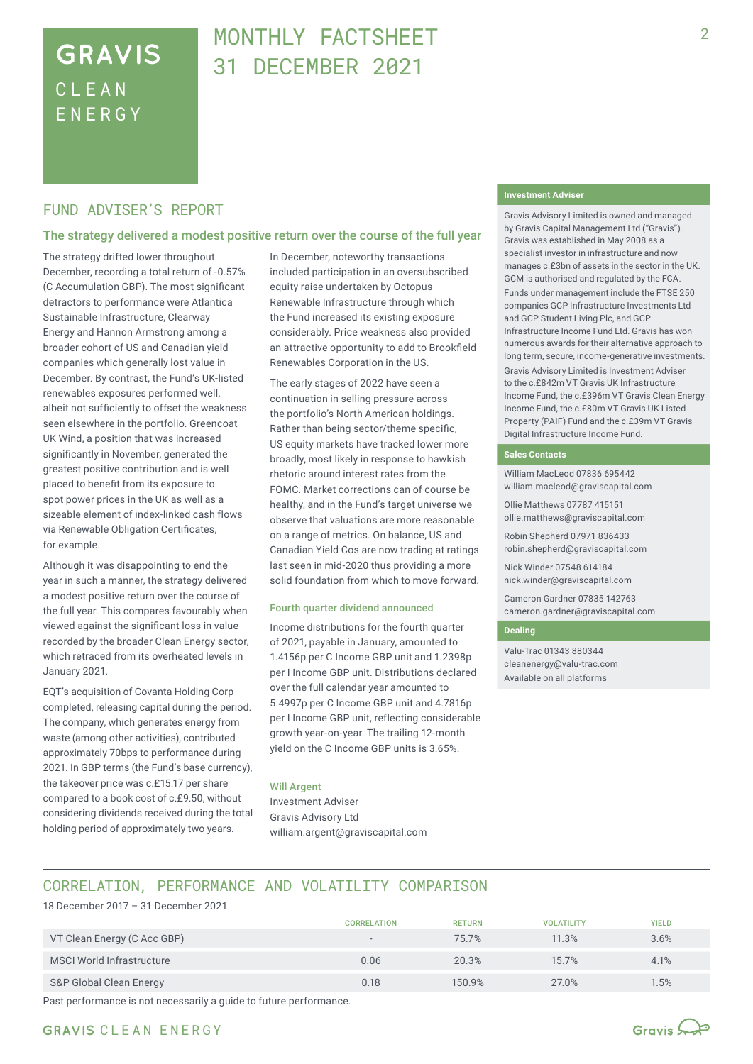## **GRAVIS** CLEA N ENERG Y

## MONTHLY FACTSHEFT 31 DECEMBER 2021

### FUND ADVISER'S REPORT

#### The strategy delivered a modest positive return over the course of the full year

The strategy drifted lower throughout December, recording a total return of -0.57% (C Accumulation GBP). The most significant detractors to performance were Atlantica Sustainable Infrastructure, Clearway Energy and Hannon Armstrong among a broader cohort of US and Canadian yield companies which generally lost value in December. By contrast, the Fund's UK-listed renewables exposures performed well, albeit not sufficiently to offset the weakness seen elsewhere in the portfolio. Greencoat UK Wind, a position that was increased significantly in November, generated the greatest positive contribution and is well placed to benefit from its exposure to spot power prices in the UK as well as a sizeable element of index-linked cash flows via Renewable Obligation Certificates, for example.

Although it was disappointing to end the year in such a manner, the strategy delivered a modest positive return over the course of the full year. This compares favourably when viewed against the significant loss in value recorded by the broader Clean Energy sector, which retraced from its overheated levels in January 2021.

EQT's acquisition of Covanta Holding Corp completed, releasing capital during the period. The company, which generates energy from waste (among other activities), contributed approximately 70bps to performance during 2021. In GBP terms (the Fund's base currency), the takeover price was c.£15.17 per share compared to a book cost of c.£9.50, without considering dividends received during the total holding period of approximately two years.

In December, noteworthy transactions included participation in an oversubscribed equity raise undertaken by Octopus Renewable Infrastructure through which the Fund increased its existing exposure considerably. Price weakness also provided an attractive opportunity to add to Brookfield Renewables Corporation in the US.

The early stages of 2022 have seen a continuation in selling pressure across the portfolio's North American holdings. Rather than being sector/theme specific, US equity markets have tracked lower more broadly, most likely in response to hawkish rhetoric around interest rates from the FOMC. Market corrections can of course be healthy, and in the Fund's target universe we observe that valuations are more reasonable on a range of metrics. On balance, US and Canadian Yield Cos are now trading at ratings last seen in mid-2020 thus providing a more solid foundation from which to move forward.

#### Fourth quarter dividend announced

Income distributions for the fourth quarter of 2021, payable in January, amounted to 1.4156p per C Income GBP unit and 1.2398p per I Income GBP unit. Distributions declared over the full calendar year amounted to 5.4997p per C Income GBP unit and 4.7816p per I Income GBP unit, reflecting considerable growth year-on-year. The trailing 12-month yield on the C Income GBP units is 3.65%.

#### Will Argent

Investment Adviser Gravis Advisory Ltd william.argent@graviscapital.com

#### **Investment Adviser**

Gravis Advisory Limited is owned and managed by Gravis Capital Management Ltd ("Gravis"). Gravis was established in May 2008 as a specialist investor in infrastructure and now manages c.£3bn of assets in the sector in the UK. GCM is authorised and regulated by the FCA.

Funds under management include the FTSE 250 companies GCP Infrastructure Investments Ltd and GCP Student Living Plc, and GCP Infrastructure Income Fund Ltd. Gravis has won numerous awards for their alternative approach to long term, secure, income-generative investments. Gravis Advisory Limited is Investment Adviser to the c.£842m VT Gravis UK Infrastructure Income Fund, the c.£396m VT Gravis Clean Energy Income Fund, the c.£80m VT Gravis UK Listed Property (PAIF) Fund and the c.£39m VT Gravis Digital Infrastructure Income Fund.

#### **Sales Contacts**

William MacLeod 07836 695442 william.macleod@graviscapital.com

Ollie Matthews 07787 415151 ollie.matthews@graviscapital.com

Robin Shepherd 07971 836433 robin.shepherd@graviscapital.com

Nick Winder 07548 614184 nick.winder@graviscapital.com

Cameron Gardner 07835 142763 cameron.gardner@graviscapital.com

#### **Dealing**

Valu-Trac 01343 880344 cleanenergy@valu-trac.com Available on all platforms

## CORRELATION, PERFORMANCE AND VOLATILITY COMPARISON

18 December 2017 – 31 December 2021

|                                  | <b>CORRELATION</b>       | <b>RETURN</b> | <b>VOLATILITY</b> | <b>YIELD</b> |
|----------------------------------|--------------------------|---------------|-------------------|--------------|
| VT Clean Energy (C Acc GBP)      | $\overline{\phantom{a}}$ | 75.7%         | 11.3%             | 3.6%         |
| <b>MSCI World Infrastructure</b> | 0.06                     | 20.3%         | 15.7%             | 4.1%         |
| S&P Global Clean Energy          | 0.18                     | 150.9%        | 27.0%             | $1.5\%$      |

Past performance is not necessarily a guide to future performance.